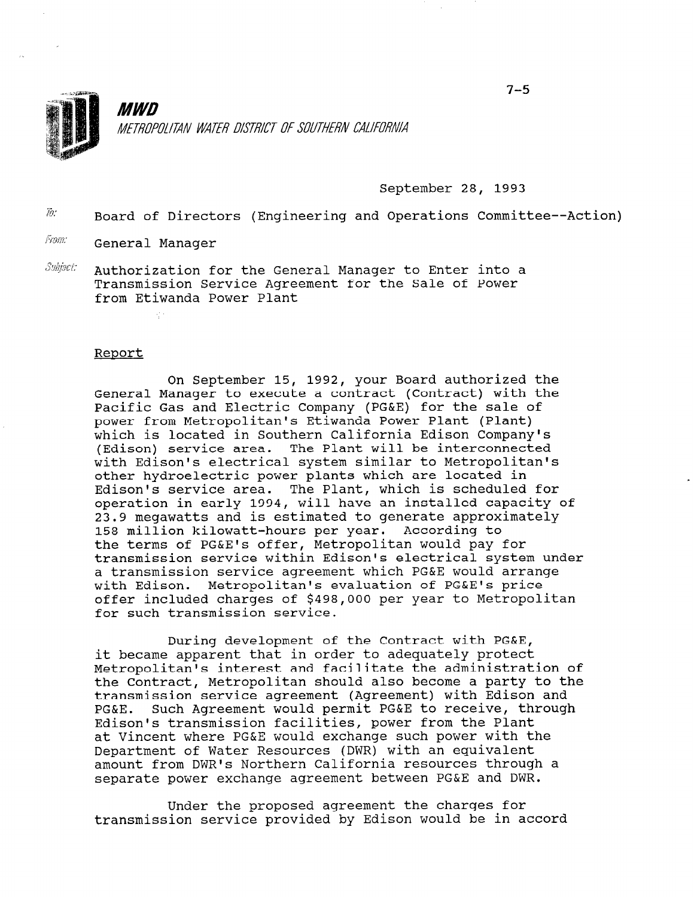

*MWD* METROPOLITAN WATER DISTRICT OF SOUTHERN CALIFORNIA

September 28, 1993

 $\bar{w}$  Board of Directors (Engineering and Operations Committee--Action)

From: General Manager

÷.

 $S$ ubject: Authorization for the General Manager to Enter into a Transmission Service Agreement for the Sale of Power from Etiwanda Power Plant

## Report

On September 15, 1992, your Board authorized the General Manager to execute a contract (Contract) with the Pacific Gas and Electric Company (PG&E) for the sale of power from Metropolitan's Etiwanda Power Plant (Plant) which is located in Southern California Edison Company's (Edison) service area. The Plant will be interconnected with Edison's electrical system similar to Metropolitan's other hydroelectric power plants which are located in Edison's service area. The Plant, which is scheduled for operation in early 1994, will have an installed capacity of 23.9 megawatts and is estimated to generate approximately 158 million kilowatt-hours per year. According to the terms of PG&E's offer, Metropolitan would pay for transmission service within Edison's electrical system under a transmission service agreement which PG&E would arrange with Edison. Metropolitan's evaluation of PG&E's price offer included charges of \$498,000 per year to Metropolitan for such transmission service.

During development of the Contract with PG&E, it became apparent that in order to adequately protect Metropolitan's interest and facilitate the administration of the Contract, Metropolitan should also become a party to the the Contract, metroportican should also become a party to t PG&E. Such Agreement would permit PG&E to receive, through FG&L. SUCH AGLEEMENT WOULD PELMIT FG&L TO LECEIVE, T at Vincent where PG&E would exchange such power with the at Vincent where PG&E would exchange such power with the<br>Department of Water Resources (DWR) with an equivalent amount from DWR's Northern California resources through a smount from DWR's NORthern California resources through

Under the proposed agreement the charges for transmission service provided by Edison would be in accord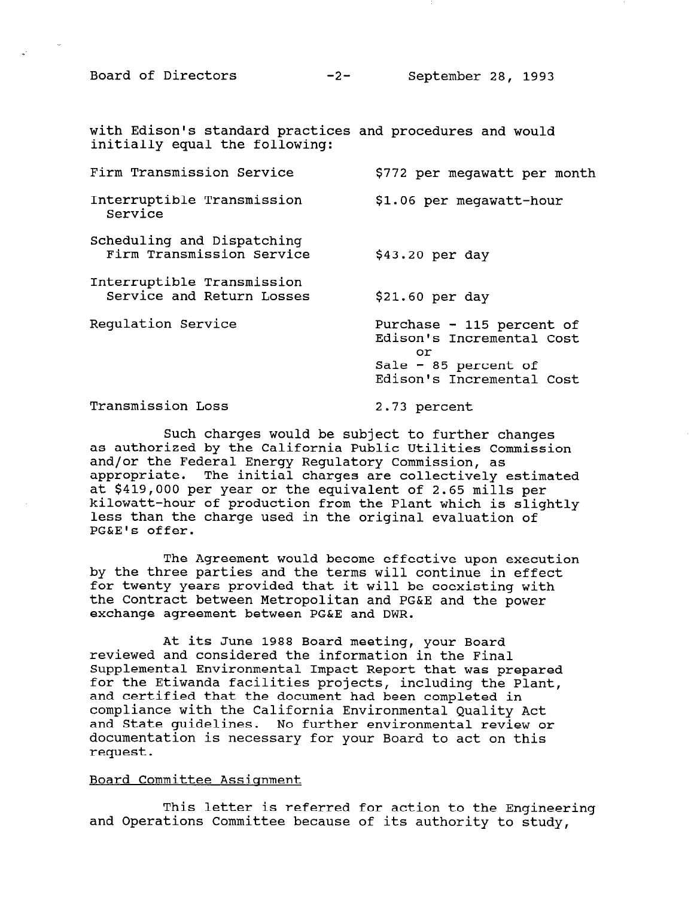with Edison's standard practices and procedures and would initially equal the following:

| Firm Transmission Service                               | \$772 per megawatt per month                                                                                      |
|---------------------------------------------------------|-------------------------------------------------------------------------------------------------------------------|
| Interruptible Transmission<br>Service                   | \$1.06 per meqawatt-hour                                                                                          |
| Scheduling and Dispatching<br>Firm Transmission Service | $$43.20$ per day                                                                                                  |
| Interruptible Transmission<br>Service and Return Losses | $$21.60$ per day                                                                                                  |
| Requlation Service                                      | Purchase - 115 percent of<br>Edison's Incremental Cost<br>or<br>Sale - 85 percent of<br>Edison's Incremental Cost |

Transmission Loss 2.73 percent

Such charges would be subject to further changes as authorized by the California Public Utilities Commission and/or the Federal Energy Regulatory Commission, as appropriate. The initial charges are collectively estimated at \$419,000 per year or the equivalent of 2.65 mills per kilowatt-hour of production from the Plant which is slightly less than the charge used in the original evaluation of PG&E's offer.

The Agreement would become effective upon execution by the three parties and the terms will continue in effect for twenty years provided that it will be coexisting with the Contract between Metropolitan and PG&E and the power exchange agreement between PG&E and DWR.

At its June 1988 Board meeting, your Board reviewed and considered the information in the Final Supplemental Environmental Impact Report that was prepared for the Etiwanda facilities projects, including the Plant, for the Etiwanda facilities projects, including the Plant,<br>and certified that the document had been completed in and certified that the document had been completed in comprimice with the Carrierhia Environmental Quarity ACt. and State guidelines. No further environmental review or<br>documentation is necessary for your Board to act on this request.

## Board Committee Assisnment

 $T$  to the isocal to the Engineering for a contribution to the Engineering for a contribution to the Engineering for and Operations Committee because of its authority to the Engineer